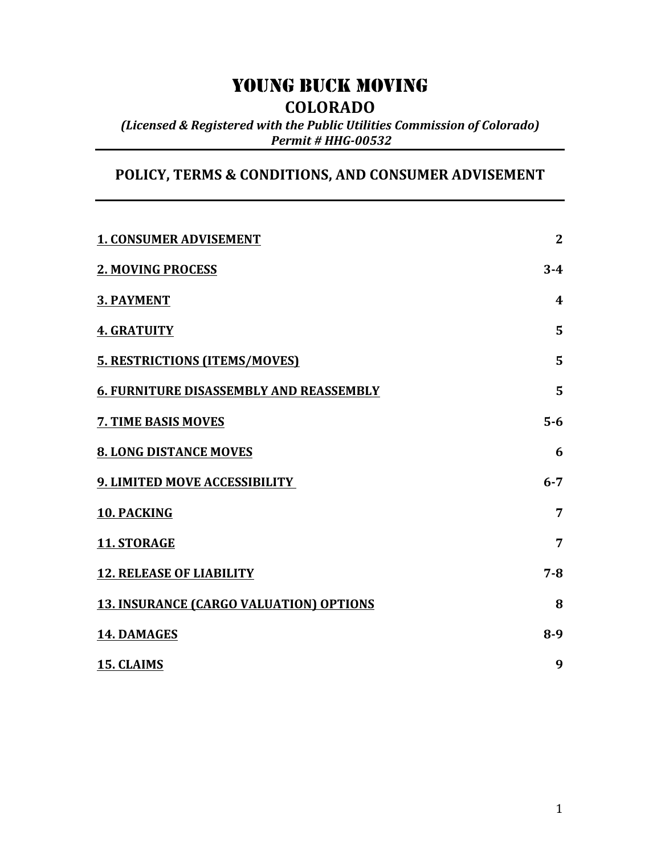# YOUNG BUCK MOVING

**COLORADO**

*(Licensed & Registered with the Public Utilities Commission of Colorado) Permit)#)HHG?00532*

# POLICY, TERMS & CONDITIONS, AND CONSUMER ADVISEMENT

| <b>1. CONSUMER ADVISEMENT</b>                  | $\overline{2}$   |
|------------------------------------------------|------------------|
| <b>2. MOVING PROCESS</b>                       | $3 - 4$          |
| <b>3. PAYMENT</b>                              | $\boldsymbol{4}$ |
| <b>4. GRATUITY</b>                             | 5                |
| <b>5. RESTRICTIONS (ITEMS/MOVES)</b>           | 5                |
| <b>6. FURNITURE DISASSEMBLY AND REASSEMBLY</b> | 5                |
| 7. TIME BASIS MOVES                            | $5-6$            |
| <b>8. LONG DISTANCE MOVES</b>                  | 6                |
| 9. LIMITED MOVE ACCESSIBILITY                  | $6 - 7$          |
| 10. PACKING                                    | $\overline{7}$   |
| 11. STORAGE                                    | $\overline{7}$   |
| <b>12. RELEASE OF LIABILITY</b>                | $7 - 8$          |
| <b>13. INSURANCE (CARGO VALUATION) OPTIONS</b> | 8                |
| 14. DAMAGES                                    | $8-9$            |
| 15. CLAIMS                                     | 9                |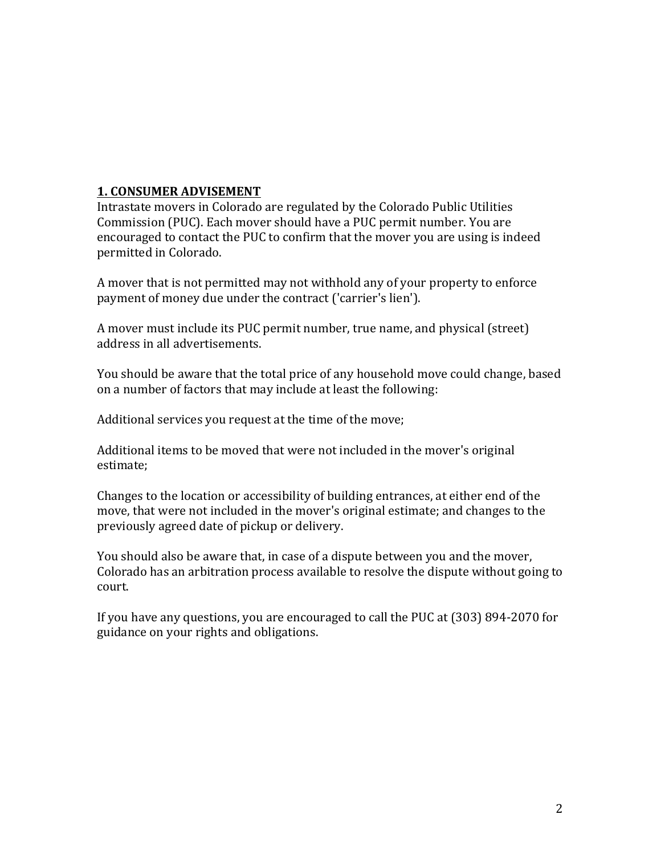# **1. CONSUMER ADVISEMENT**

Intrastate movers in Colorado are regulated by the Colorado Public Utilities Commission (PUC). Each mover should have a PUC permit number. You are encouraged to contact the PUC to confirm that the mover you are using is indeed permitted in Colorado.

A mover that is not permitted may not withhold any of your property to enforce payment of money due under the contract ('carrier's lien').

A mover must include its PUC permit number, true name, and physical (street) address in all advertisements.

You should be aware that the total price of any household move could change, based on a number of factors that may include at least the following:

Additional services you request at the time of the move;

Additional items to be moved that were not included in the mover's original estimate;

Changes to the location or accessibility of building entrances, at either end of the move, that were not included in the mover's original estimate; and changes to the previously agreed date of pickup or delivery.

You should also be aware that, in case of a dispute between you and the mover, Colorado has an arbitration process available to resolve the dispute without going to court.

If you have any questions, you are encouraged to call the PUC at (303) 894-2070 for guidance on your rights and obligations.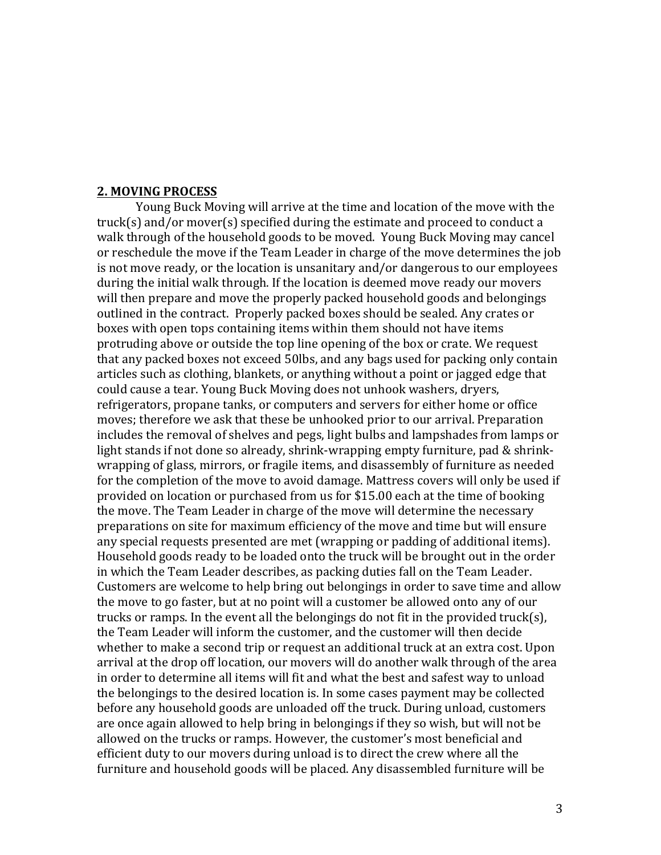#### **2.'MOVING'PROCESS**

Young Buck Moving will arrive at the time and location of the move with the truck(s) and/or mover(s) specified during the estimate and proceed to conduct a walk through of the household goods to be moved. Young Buck Moving may cancel or reschedule the move if the Team Leader in charge of the move determines the job is not move ready, or the location is unsanitary and/or dangerous to our employees during the initial walk through. If the location is deemed move ready our movers will then prepare and move the properly packed household goods and belongings outlined in the contract. Properly packed boxes should be sealed. Any crates or boxes with open tops containing items within them should not have items protruding above or outside the top line opening of the box or crate. We request that any packed boxes not exceed 50lbs, and any bags used for packing only contain articles such as clothing, blankets, or anything without a point or jagged edge that could cause a tear. Young Buck Moving does not unhook washers, dryers, refrigerators, propane tanks, or computers and servers for either home or office moves; therefore we ask that these be unhooked prior to our arrival. Preparation includes the removal of shelves and pegs, light bulbs and lampshades from lamps or light stands if not done so already, shrink-wrapping empty furniture, pad & shrinkwrapping of glass, mirrors, or fragile items, and disassembly of furniture as needed for the completion of the move to avoid damage. Mattress covers will only be used if provided on location or purchased from us for \$15.00 each at the time of booking the move. The Team Leader in charge of the move will determine the necessary preparations on site for maximum efficiency of the move and time but will ensure any special requests presented are met (wrapping or padding of additional items). Household goods ready to be loaded onto the truck will be brought out in the order in which the Team Leader describes, as packing duties fall on the Team Leader. Customers are welcome to help bring out belongings in order to save time and allow the move to go faster, but at no point will a customer be allowed onto any of our trucks or ramps. In the event all the belongings do not fit in the provided truck(s), the Team Leader will inform the customer, and the customer will then decide whether to make a second trip or request an additional truck at an extra cost. Upon arrival at the drop off location, our movers will do another walk through of the area in order to determine all items will fit and what the best and safest way to unload the belongings to the desired location is. In some cases payment may be collected before any household goods are unloaded off the truck. During unload, customers are once again allowed to help bring in belongings if they so wish, but will not be allowed on the trucks or ramps. However, the customer's most beneficial and efficient duty to our movers during unload is to direct the crew where all the furniture and household goods will be placed. Any disassembled furniture will be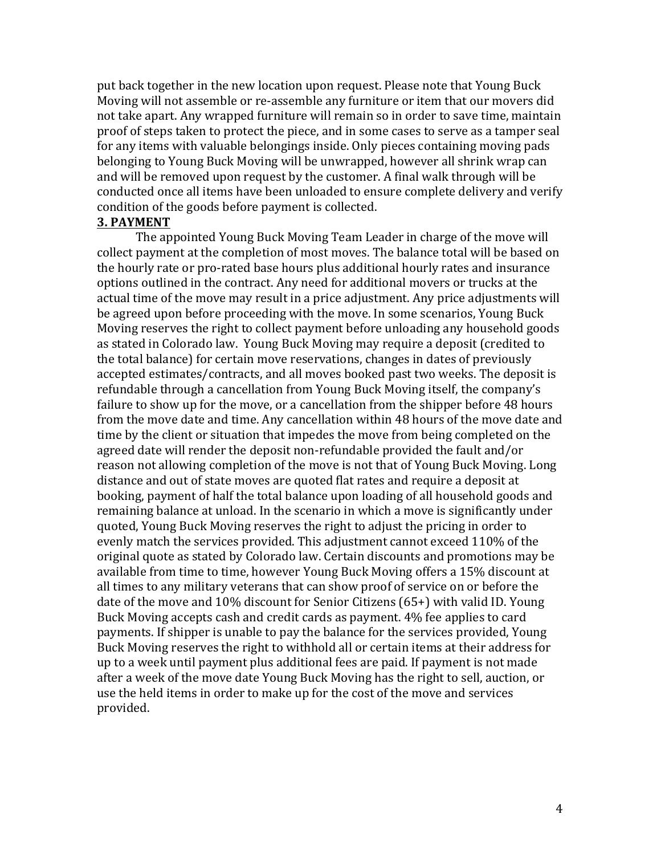put back together in the new location upon request. Please note that Young Buck Moving will not assemble or re-assemble any furniture or item that our movers did not take apart. Any wrapped furniture will remain so in order to save time, maintain proof of steps taken to protect the piece, and in some cases to serve as a tamper seal for any items with valuable belongings inside. Only pieces containing moving pads belonging to Young Buck Moving will be unwrapped, however all shrink wrap can and will be removed upon request by the customer. A final walk through will be conducted once all items have been unloaded to ensure complete delivery and verify condition of the goods before payment is collected.

#### **3. PAYMENT**

The appointed Young Buck Moving Team Leader in charge of the move will collect payment at the completion of most moves. The balance total will be based on the hourly rate or pro-rated base hours plus additional hourly rates and insurance options outlined in the contract. Any need for additional movers or trucks at the actual time of the move may result in a price adjustment. Any price adjustments will be agreed upon before proceeding with the move. In some scenarios, Young Buck Moving reserves the right to collect payment before unloading any household goods as stated in Colorado law. Young Buck Moving may require a deposit (credited to the total balance) for certain move reservations, changes in dates of previously accepted estimates/contracts, and all moves booked past two weeks. The deposit is refundable through a cancellation from Young Buck Moving itself, the company's failure to show up for the move, or a cancellation from the shipper before 48 hours from the move date and time. Any cancellation within 48 hours of the move date and time by the client or situation that impedes the move from being completed on the agreed date will render the deposit non-refundable provided the fault and/or reason not allowing completion of the move is not that of Young Buck Moving. Long distance and out of state moves are quoted flat rates and require a deposit at booking, payment of half the total balance upon loading of all household goods and remaining balance at unload. In the scenario in which a move is significantly under quoted, Young Buck Moving reserves the right to adjust the pricing in order to evenly match the services provided. This adjustment cannot exceed 110% of the original quote as stated by Colorado law. Certain discounts and promotions may be available from time to time, however Young Buck Moving offers a 15% discount at all times to any military veterans that can show proof of service on or before the date of the move and 10% discount for Senior Citizens (65+) with valid ID. Young Buck Moving accepts cash and credit cards as payment. 4% fee applies to card payments. If shipper is unable to pay the balance for the services provided, Young Buck Moving reserves the right to withhold all or certain items at their address for up to a week until payment plus additional fees are paid. If payment is not made after a week of the move date Young Buck Moving has the right to sell, auction, or use the held items in order to make up for the cost of the move and services provided.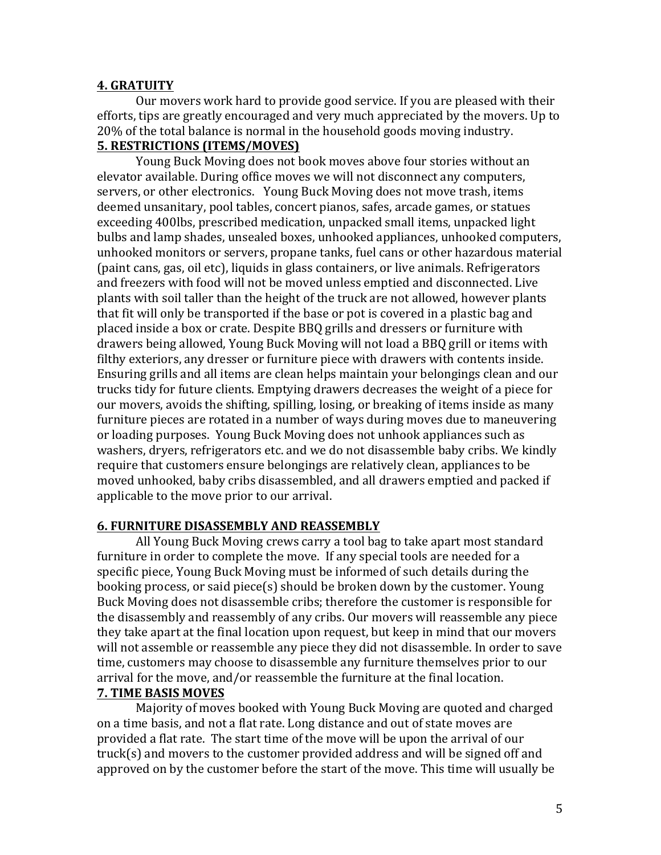### **4.'GRATUITY**

Our movers work hard to provide good service. If you are pleased with their efforts, tips are greatly encouraged and very much appreciated by the movers. Up to 20% of the total balance is normal in the household goods moving industry. **5. RESTRICTIONS (ITEMS/MOVES)** 

Young Buck Moving does not book moves above four stories without an elevator available. During office moves we will not disconnect any computers, servers, or other electronics. Young Buck Moving does not move trash, items deemed unsanitary, pool tables, concert pianos, safes, arcade games, or statues exceeding 400lbs, prescribed medication, unpacked small items, unpacked light bulbs and lamp shades, unsealed boxes, unhooked appliances, unhooked computers, unhooked monitors or servers, propane tanks, fuel cans or other hazardous material (paint cans, gas, oil etc), liquids in glass containers, or live animals. Refrigerators and freezers with food will not be moved unless emptied and disconnected. Live plants with soil taller than the height of the truck are not allowed, however plants that fit will only be transported if the base or pot is covered in a plastic bag and placed inside a box or crate. Despite BBQ grills and dressers or furniture with drawers being allowed, Young Buck Moving will not load a BBQ grill or items with filthy exteriors, any dresser or furniture piece with drawers with contents inside. Ensuring grills and all items are clean helps maintain your belongings clean and our trucks tidy for future clients. Emptying drawers decreases the weight of a piece for our movers, avoids the shifting, spilling, losing, or breaking of items inside as many furniture pieces are rotated in a number of ways during moves due to maneuvering or loading purposes. Young Buck Moving does not unhook appliances such as washers, dryers, refrigerators etc. and we do not disassemble baby cribs. We kindly require that customers ensure belongings are relatively clean, appliances to be moved unhooked, baby cribs disassembled, and all drawers emptied and packed if applicable to the move prior to our arrival.

### **6.'FURNITURE'DISASSEMBLY'AND'REASSEMBLY**

All Young Buck Moving crews carry a tool bag to take apart most standard furniture in order to complete the move. If any special tools are needed for a specific piece, Young Buck Moving must be informed of such details during the booking process, or said piece(s) should be broken down by the customer. Young Buck Moving does not disassemble cribs; therefore the customer is responsible for the disassembly and reassembly of any cribs. Our movers will reassemble any piece they take apart at the final location upon request, but keep in mind that our movers will not assemble or reassemble any piece they did not disassemble. In order to save time, customers may choose to disassemble any furniture themselves prior to our arrival for the move, and/or reassemble the furniture at the final location. **7.'TIME'BASIS'MOVES**

## Majority of moves booked with Young Buck Moving are quoted and charged on a time basis, and not a flat rate. Long distance and out of state moves are provided a flat rate. The start time of the move will be upon the arrival of our  $true(s)$  and movers to the customer provided address and will be signed off and approved on by the customer before the start of the move. This time will usually be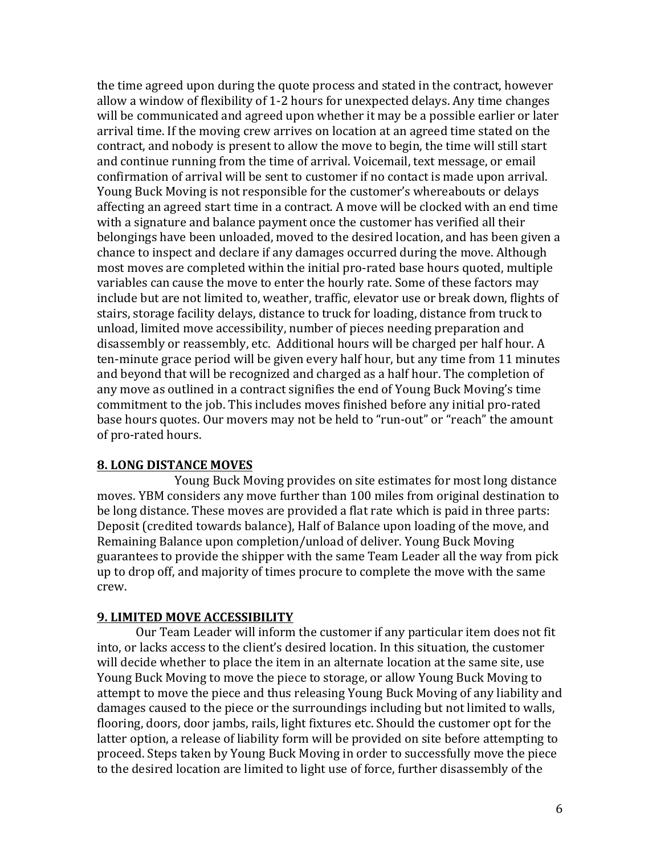the time agreed upon during the quote process and stated in the contract, however allow a window of flexibility of 1-2 hours for unexpected delays. Any time changes will be communicated and agreed upon whether it may be a possible earlier or later arrival time. If the moving crew arrives on location at an agreed time stated on the contract, and nobody is present to allow the move to begin, the time will still start and continue running from the time of arrival. Voicemail, text message, or email confirmation of arrival will be sent to customer if no contact is made upon arrival. Young Buck Moving is not responsible for the customer's whereabouts or delays affecting an agreed start time in a contract. A move will be clocked with an end time with a signature and balance payment once the customer has verified all their belongings have been unloaded, moved to the desired location, and has been given a chance to inspect and declare if any damages occurred during the move. Although most moves are completed within the initial pro-rated base hours quoted, multiple variables can cause the move to enter the hourly rate. Some of these factors may include but are not limited to, weather, traffic, elevator use or break down, flights of stairs, storage facility delays, distance to truck for loading, distance from truck to unload, limited move accessibility, number of pieces needing preparation and disassembly or reassembly, etc. Additional hours will be charged per half hour. A ten-minute grace period will be given every half hour, but any time from 11 minutes and beyond that will be recognized and charged as a half hour. The completion of any move as outlined in a contract signifies the end of Young Buck Moving's time commitment to the job. This includes moves finished before any initial pro-rated base hours quotes. Our movers may not be held to "run-out" or "reach" the amount of pro-rated hours.

## 8. LONG DISTANCE MOVES

Young Buck Moving provides on site estimates for most long distance moves. YBM considers any move further than 100 miles from original destination to be long distance. These moves are provided a flat rate which is paid in three parts: Deposit (credited towards balance), Half of Balance upon loading of the move, and Remaining Balance upon completion/unload of deliver. Young Buck Moving guarantees to provide the shipper with the same Team Leader all the way from pick up to drop off, and majority of times procure to complete the move with the same crew.

## **9. LIMITED MOVE ACCESSIBILITY**

Our Team Leader will inform the customer if any particular item does not fit into, or lacks access to the client's desired location. In this situation, the customer will decide whether to place the item in an alternate location at the same site, use Young Buck Moving to move the piece to storage, or allow Young Buck Moving to attempt to move the piece and thus releasing Young Buck Moving of any liability and damages caused to the piece or the surroundings including but not limited to walls, flooring, doors, door jambs, rails, light fixtures etc. Should the customer opt for the latter option, a release of liability form will be provided on site before attempting to proceed. Steps taken by Young Buck Moving in order to successfully move the piece to the desired location are limited to light use of force, further disassembly of the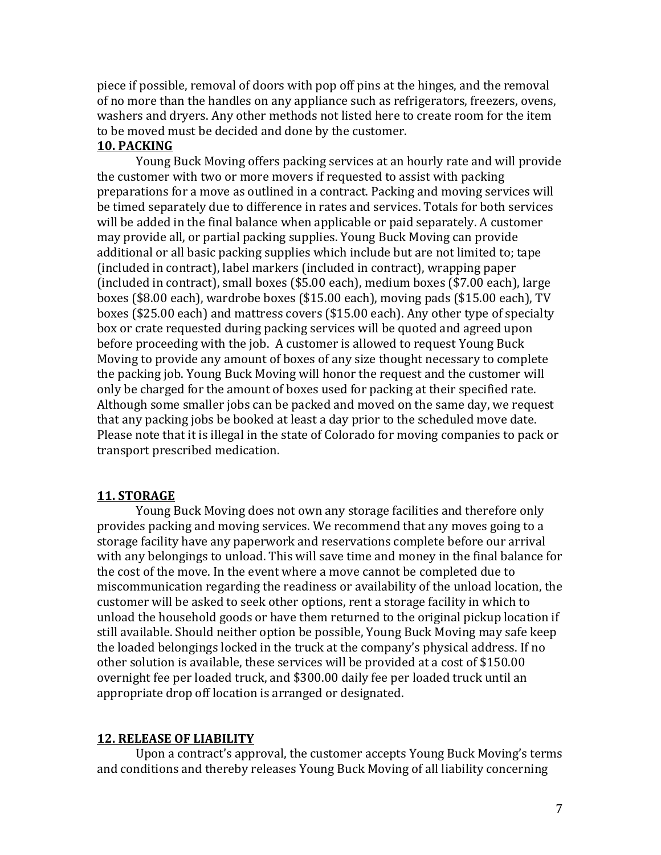piece if possible, removal of doors with pop off pins at the hinges, and the removal of no more than the handles on any appliance such as refrigerators, freezers, ovens, washers and dryers. Any other methods not listed here to create room for the item to be moved must be decided and done by the customer.

#### **10. PACKING**

Young Buck Moving offers packing services at an hourly rate and will provide the customer with two or more movers if requested to assist with packing preparations for a move as outlined in a contract. Packing and moving services will be timed separately due to difference in rates and services. Totals for both services will be added in the final balance when applicable or paid separately. A customer may provide all, or partial packing supplies. Young Buck Moving can provide additional or all basic packing supplies which include but are not limited to; tape (included in contract), label markers (included in contract), wrapping paper (included in contract), small boxes (\$5.00 each), medium boxes (\$7.00 each), large boxes (\$8.00 each), wardrobe boxes (\$15.00 each), moving pads (\$15.00 each), TV boxes (\$25.00 each) and mattress covers (\$15.00 each). Any other type of specialty box or crate requested during packing services will be quoted and agreed upon before proceeding with the job. A customer is allowed to request Young Buck Moving to provide any amount of boxes of any size thought necessary to complete the packing job. Young Buck Moving will honor the request and the customer will only be charged for the amount of boxes used for packing at their specified rate. Although some smaller jobs can be packed and moved on the same day, we request that any packing jobs be booked at least a day prior to the scheduled move date. Please note that it is illegal in the state of Colorado for moving companies to pack or transport prescribed medication.

#### **11. STORAGE**

Young Buck Moving does not own any storage facilities and therefore only provides packing and moving services. We recommend that any moves going to a storage facility have any paperwork and reservations complete before our arrival with any belongings to unload. This will save time and money in the final balance for the cost of the move. In the event where a move cannot be completed due to miscommunication regarding the readiness or availability of the unload location, the customer will be asked to seek other options, rent a storage facility in which to unload the household goods or have them returned to the original pickup location if still available. Should neither option be possible, Young Buck Moving may safe keep the loaded belongings locked in the truck at the company's physical address. If no other solution is available, these services will be provided at a cost of \$150.00 overnight fee per loaded truck, and \$300.00 daily fee per loaded truck until an appropriate drop off location is arranged or designated.

#### **12. RELEASE OF LIABILITY**

Upon a contract's approval, the customer accepts Young Buck Moving's terms and conditions and thereby releases Young Buck Moving of all liability concerning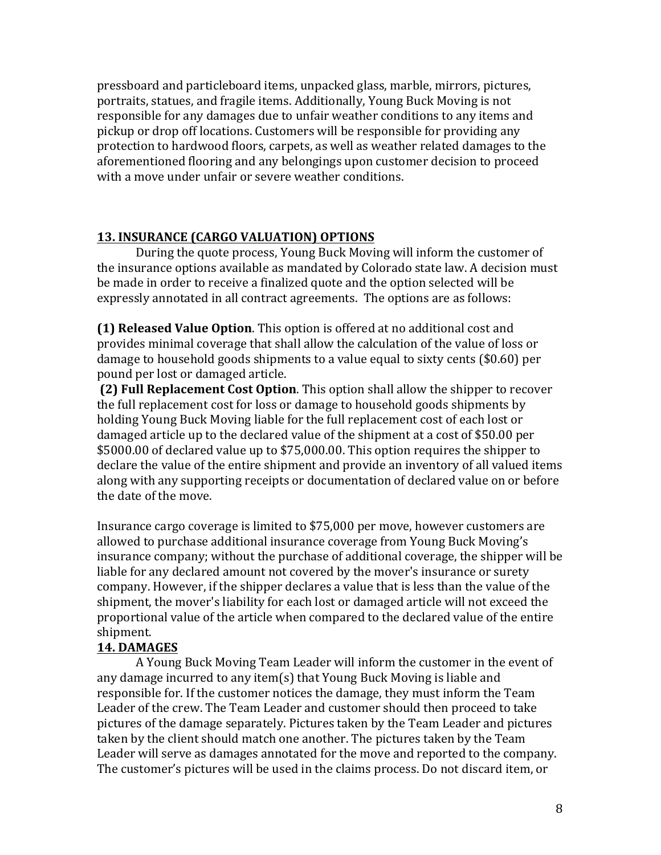pressboard and particleboard items, unpacked glass, marble, mirrors, pictures, portraits, statues, and fragile items. Additionally, Young Buck Moving is not responsible for any damages due to unfair weather conditions to any items and pickup or drop off locations. Customers will be responsible for providing any protection to hardwood floors, carpets, as well as weather related damages to the aforementioned flooring and any belongings upon customer decision to proceed with a move under unfair or severe weather conditions.

# 13. INSURANCE (CARGO VALUATION) OPTIONS

During the quote process, Young Buck Moving will inform the customer of the insurance options available as mandated by Colorado state law. A decision must be made in order to receive a finalized quote and the option selected will be expressly annotated in all contract agreements. The options are as follows:

**(1) Released Value Option**. This option is offered at no additional cost and provides minimal coverage that shall allow the calculation of the value of loss or damage to household goods shipments to a value equal to sixty cents (\$0.60) per pound per lost or damaged article.

**(2) Full Replacement Cost Option**. This option shall allow the shipper to recover the full replacement cost for loss or damage to household goods shipments by holding Young Buck Moving liable for the full replacement cost of each lost or damaged article up to the declared value of the shipment at a cost of \$50.00 per \$5000.00 of declared value up to \$75,000.00. This option requires the shipper to declare the value of the entire shipment and provide an inventory of all valued items along with any supporting receipts or documentation of declared value on or before the date of the move.

Insurance cargo coverage is limited to \$75,000 per move, however customers are allowed to purchase additional insurance coverage from Young Buck Moving's insurance company; without the purchase of additional coverage, the shipper will be liable for any declared amount not covered by the mover's insurance or surety company. However, if the shipper declares a value that is less than the value of the shipment, the mover's liability for each lost or damaged article will not exceed the proportional value of the article when compared to the declared value of the entire shipment.

## **14. DAMAGES**

A Young Buck Moving Team Leader will inform the customer in the event of any damage incurred to any item(s) that Young Buck Moving is liable and responsible for. If the customer notices the damage, they must inform the Team Leader of the crew. The Team Leader and customer should then proceed to take pictures of the damage separately. Pictures taken by the Team Leader and pictures taken by the client should match one another. The pictures taken by the Team Leader will serve as damages annotated for the move and reported to the company. The customer's pictures will be used in the claims process. Do not discard item, or